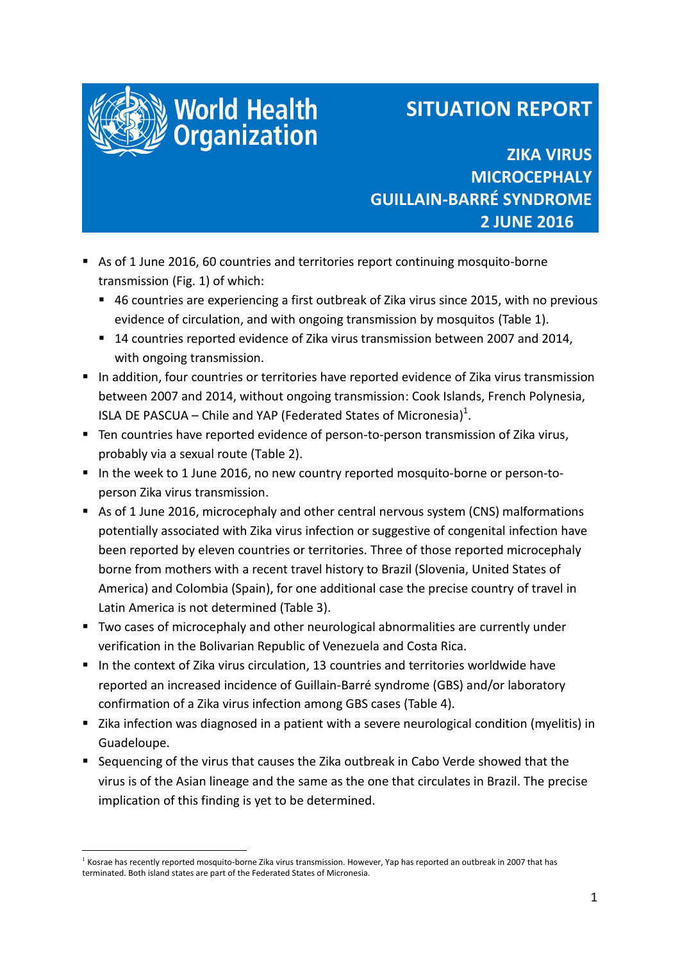

1

# **SITUATION REPORT**

**ZIKA VIRUS MICROCEPHALY GUILLAIN-BARRÉ SYNDROME 2 JUNE 2016**

 As of 1 June 2016, 60 countries and territories report continuing mosquito-borne transmission (Fig. 1) of which:

World Health<br>Organization

- 46 countries are experiencing a first outbreak of Zika virus since 2015, with no previous evidence of circulation, and with ongoing transmission by mosquitos (Table 1).
- 14 countries reported evidence of Zika virus transmission between 2007 and 2014, with ongoing transmission.
- In addition, four countries or territories have reported evidence of Zika virus transmission between 2007 and 2014, without ongoing transmission: Cook Islands, French Polynesia, ISLA DE PASCUA – Chile and YAP (Federated States of Micronesia) $^1$ .
- Ten countries have reported evidence of person-to-person transmission of Zika virus, probably via a sexual route (Table 2).
- In the week to 1 June 2016, no new country reported mosquito-borne or person-toperson Zika virus transmission.
- As of 1 June 2016, microcephaly and other central nervous system (CNS) malformations potentially associated with Zika virus infection or suggestive of congenital infection have been reported by eleven countries or territories. Three of those reported microcephaly borne from mothers with a recent travel history to Brazil (Slovenia, United States of America) and Colombia (Spain), for one additional case the precise country of travel in Latin America is not determined (Table 3).
- Two cases of microcephaly and other neurological abnormalities are currently under verification in the Bolivarian Republic of Venezuela and Costa Rica.
- In the context of Zika virus circulation, 13 countries and territories worldwide have reported an increased incidence of Guillain-Barré syndrome (GBS) and/or laboratory confirmation of a Zika virus infection among GBS cases (Table 4).
- Zika infection was diagnosed in a patient with a severe neurological condition (myelitis) in Guadeloupe.
- Sequencing of the virus that causes the Zika outbreak in Cabo Verde showed that the virus is of the Asian lineage and the same as the one that circulates in Brazil. The precise implication of this finding is yet to be determined.

<sup>&</sup>lt;sup>1</sup> Kosrae has recently reported mosquito-borne Zika virus transmission. However, Yap has reported an outbreak in 2007 that has terminated. Both island states are part of the Federated States of Micronesia.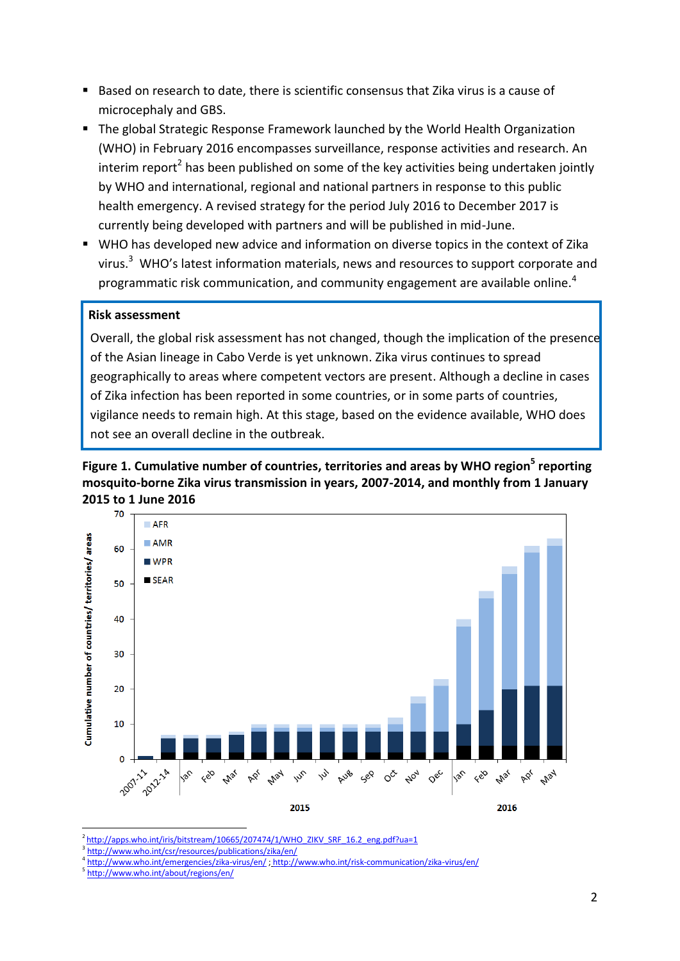- Based on research to date, there is scientific consensus that Zika virus is a cause of microcephaly and GBS.
- The global Strategic Response Framework launched by the World Health Organization (WHO) in February 2016 encompasses surveillance, response activities and research. An interim report<sup>2</sup> has been published on some of the key activities being undertaken jointly by WHO and international, regional and national partners in response to this public health emergency. A revised strategy for the period July 2016 to December 2017 is currently being developed with partners and will be published in mid-June.
- WHO has developed new advice and information on diverse topics in the context of Zika virus.<sup>3</sup> WHO's latest information materials, news and resources to support corporate and programmatic risk communication, and community engagement are available online.<sup>4</sup>

#### **Risk assessment**

Overall, the global risk assessment has not changed, though the implication of the presence of the Asian lineage in Cabo Verde is yet unknown. Zika virus continues to spread geographically to areas where competent vectors are present. Although a decline in cases of Zika infection has been reported in some countries, or in some parts of countries, vigilance needs to remain high. At this stage, based on the evidence available, WHO does not see an overall decline in the outbreak.





<sup>2</sup>[http://apps.who.int/iris/bitstream/10665/207474/1/WHO\\_ZIKV\\_SRF\\_16.2\\_eng.pdf?ua=1](http://apps.who.int/iris/bitstream/10665/207474/1/WHO_ZIKV_SRF_16.2_eng.pdf?ua=1)

3 <http://www.who.int/csr/resources/publications/zika/en/>

**.** 

<sup>4</sup> [http://www.who.int/emergencies/zika](http://www.who.int/emergencies/zika-virus/en/)-virus/en/ ; [http://www.who.int/risk](http://www.who.int/risk-communication/zika-virus/en/)-communication/zika-virus/en/

<sup>5</sup> <http://www.who.int/about/regions/en/>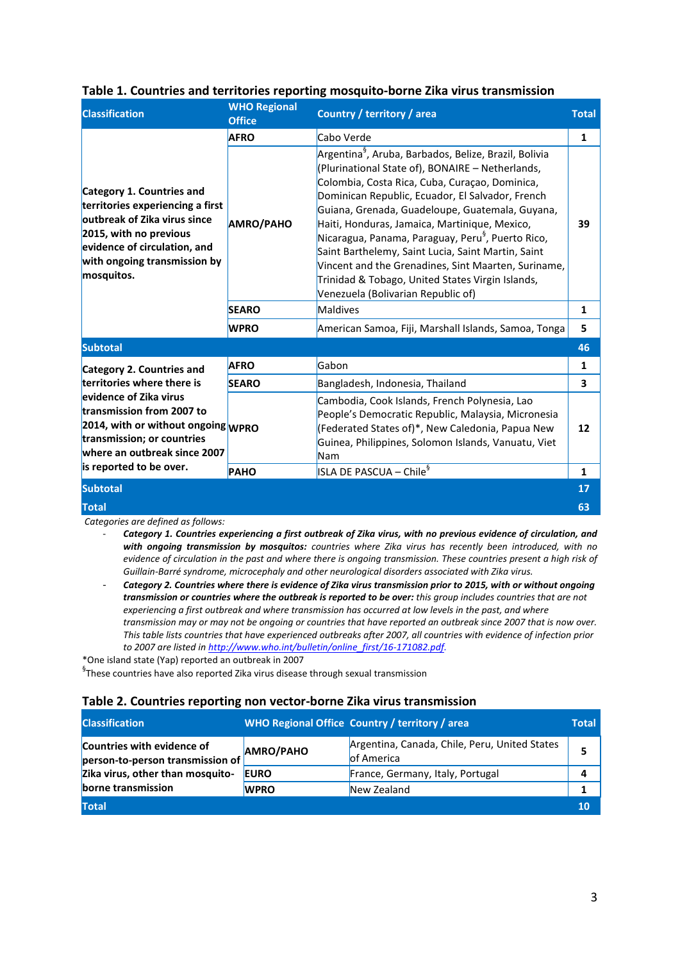| <b>Classification</b>                                                                                                                                                                                                                         | <b>WHO Regional</b><br><b>Office</b> | <b>Country / territory / area</b>                                                                                                                                                                                                                                                                                                                                                                                                                                                                                                                                                                       | <b>Total</b> |
|-----------------------------------------------------------------------------------------------------------------------------------------------------------------------------------------------------------------------------------------------|--------------------------------------|---------------------------------------------------------------------------------------------------------------------------------------------------------------------------------------------------------------------------------------------------------------------------------------------------------------------------------------------------------------------------------------------------------------------------------------------------------------------------------------------------------------------------------------------------------------------------------------------------------|--------------|
|                                                                                                                                                                                                                                               | <b>AFRO</b>                          | Cabo Verde                                                                                                                                                                                                                                                                                                                                                                                                                                                                                                                                                                                              | $\mathbf{1}$ |
| Category 1. Countries and<br>territories experiencing a first<br>outbreak of Zika virus since<br>2015, with no previous<br>evidence of circulation, and<br>with ongoing transmission by<br>mosquitos.                                         | <b>AMRO/PAHO</b>                     | Argentina <sup>9</sup> , Aruba, Barbados, Belize, Brazil, Bolivia<br>(Plurinational State of), BONAIRE - Netherlands,<br>Colombia, Costa Rica, Cuba, Curaçao, Dominica,<br>Dominican Republic, Ecuador, El Salvador, French<br>Guiana, Grenada, Guadeloupe, Guatemala, Guyana,<br>Haiti, Honduras, Jamaica, Martinique, Mexico,<br>Nicaragua, Panama, Paraguay, Peru <sup>§</sup> , Puerto Rico,<br>Saint Barthelemy, Saint Lucia, Saint Martin, Saint<br>Vincent and the Grenadines, Sint Maarten, Suriname,<br>Trinidad & Tobago, United States Virgin Islands,<br>Venezuela (Bolivarian Republic of) | 39           |
|                                                                                                                                                                                                                                               | <b>SEARO</b>                         | Maldives                                                                                                                                                                                                                                                                                                                                                                                                                                                                                                                                                                                                | 1            |
|                                                                                                                                                                                                                                               | <b>WPRO</b>                          | American Samoa, Fiji, Marshall Islands, Samoa, Tonga                                                                                                                                                                                                                                                                                                                                                                                                                                                                                                                                                    | 5            |
| <b>Subtotal</b>                                                                                                                                                                                                                               |                                      |                                                                                                                                                                                                                                                                                                                                                                                                                                                                                                                                                                                                         | 46           |
| Category 2. Countries and<br>territories where there is<br>evidence of Zika virus<br>transmission from 2007 to<br>2014, with or without ongoing WPRO<br>transmission; or countries<br>where an outbreak since 2007<br>is reported to be over. | <b>AFRO</b>                          | Gabon                                                                                                                                                                                                                                                                                                                                                                                                                                                                                                                                                                                                   | 1            |
|                                                                                                                                                                                                                                               | <b>SEARO</b>                         | Bangladesh, Indonesia, Thailand                                                                                                                                                                                                                                                                                                                                                                                                                                                                                                                                                                         | 3            |
|                                                                                                                                                                                                                                               |                                      | Cambodia, Cook Islands, French Polynesia, Lao<br>People's Democratic Republic, Malaysia, Micronesia<br>(Federated States of)*, New Caledonia, Papua New<br>Guinea, Philippines, Solomon Islands, Vanuatu, Viet<br>Nam                                                                                                                                                                                                                                                                                                                                                                                   | 12           |
|                                                                                                                                                                                                                                               | PAHO                                 | ISLA DE PASCUA – Chile <sup>§</sup>                                                                                                                                                                                                                                                                                                                                                                                                                                                                                                                                                                     | 1            |
| <b>Subtotal</b>                                                                                                                                                                                                                               |                                      |                                                                                                                                                                                                                                                                                                                                                                                                                                                                                                                                                                                                         | 17           |
| <b>Total</b>                                                                                                                                                                                                                                  |                                      |                                                                                                                                                                                                                                                                                                                                                                                                                                                                                                                                                                                                         | 63           |

#### **Table 1. Countries and territories reporting mosquito-borne Zika virus transmission**

*Categories are defined as follows:* 

- *Category 1. Countries experiencing a first outbreak of Zika virus, with no previous evidence of circulation, and with ongoing transmission by mosquitos: countries where Zika virus has recently been introduced, with no evidence of circulation in the past and where there is ongoing transmission. These countries present a high risk of Guillain-Barré syndrome, microcephaly and other neurological disorders associated with Zika virus.*
- *Category 2. Countries where there is evidence of Zika virus transmission prior to 2015, with or without ongoing transmission or countries where the outbreak is reported to be over: this group includes countries that are not experiencing a first outbreak and where transmission has occurred at low levels in the past, and where transmission may or may not be ongoing or countries that have reported an outbreak since 2007 that is now over. This table lists countries that have experienced outbreaks after 2007, all countries with evidence of infection prior to 2007 are listed i[n http://www.who.int/bulletin/online\\_first/16-171082.pdf.](http://www.who.int/bulletin/online_first/16-171082.pdf)*

\*One island state (Yap) reported an outbreak in 2007

 ${}^{§}$ These countries have also reported Zika virus disease through sexual transmission

#### **Table 2. Countries reporting non vector-borne Zika virus transmission**

| <b>Classification</b>                                          |                  | WHO Regional Office Country / territory / area               | Total |
|----------------------------------------------------------------|------------------|--------------------------------------------------------------|-------|
| Countries with evidence of<br>person-to-person transmission of | <b>AMRO/PAHO</b> | Argentina, Canada, Chile, Peru, United States<br>lof America |       |
| Zika virus, other than mosquito-                               | <b>EURO</b>      | France, Germany, Italy, Portugal                             |       |
| borne transmission                                             | <b>WPRO</b>      | New Zealand                                                  |       |
| <b>Total</b>                                                   |                  |                                                              | 10    |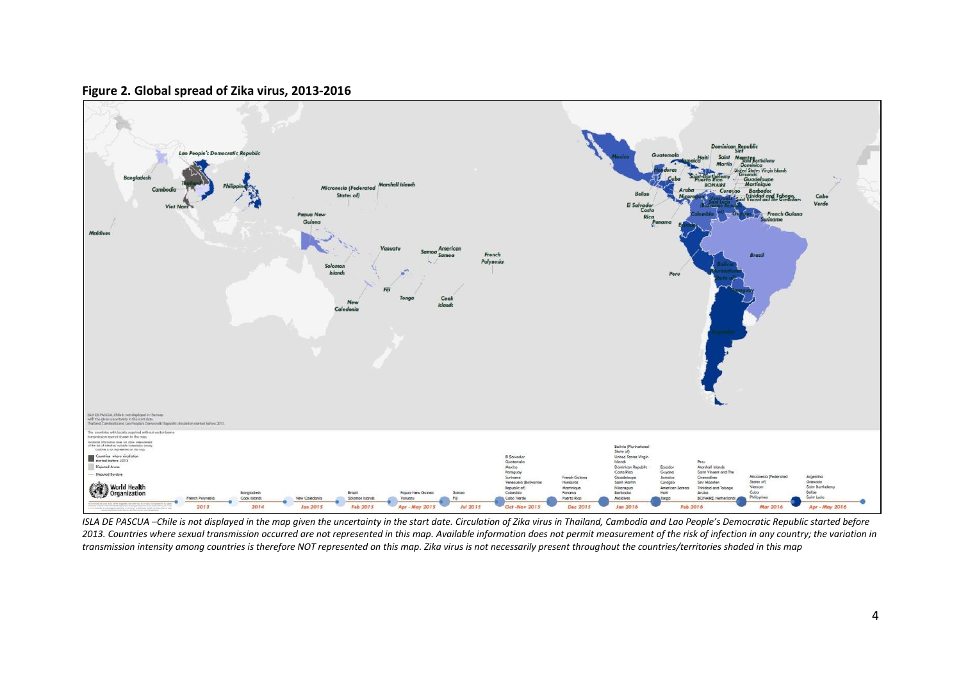

### **Figure 2. Global spread of Zika virus, 2013-2016**

*ISLA DE PASCUA –Chile is not displayed in the map given the uncertainty in the start date. Circulation of Zika virus in Thailand, Cambodia and Lao People's Democratic Republic started before 2013. Countries where sexual transmission occurred are not represented in this map. Available information does not permit measurement of the risk of infection in any country; the variation in transmission intensity among countries is therefore NOT represented on this map. Zika virus is not necessarily present throughout the countries/territories shaded in this map*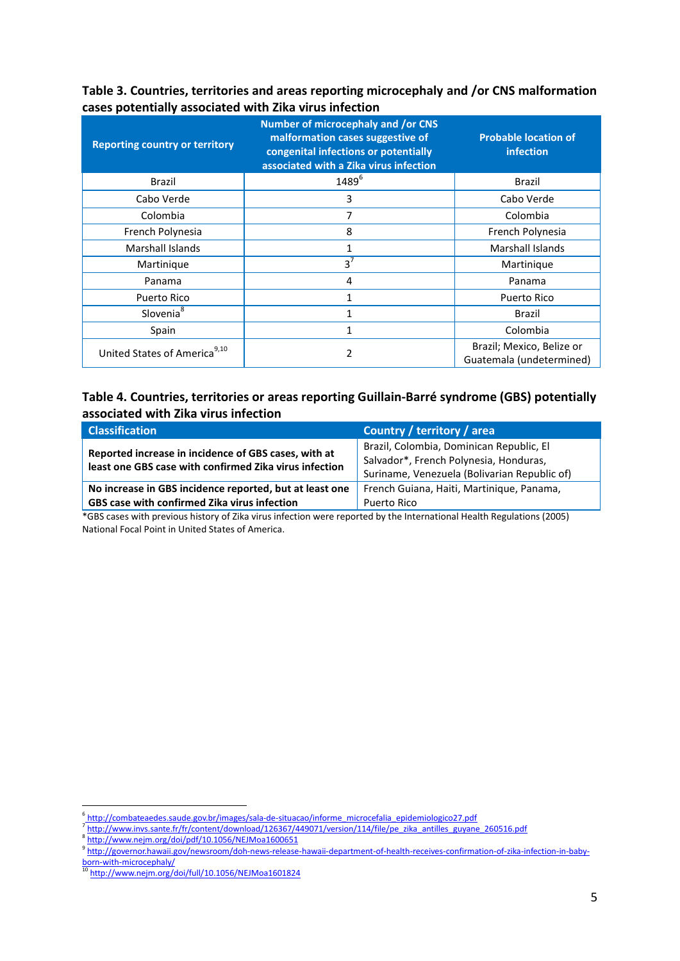| Table 3. Countries, territories and areas reporting microcephaly and /or CNS malformation |
|-------------------------------------------------------------------------------------------|
| cases potentially associated with Zika virus infection                                    |

| <b>Reporting country or territory</b>    | <b>Number of microcephaly and /or CNS</b><br>malformation cases suggestive of<br>congenital infections or potentially<br>associated with a Zika virus infection | <b>Probable location of</b><br>infection              |
|------------------------------------------|-----------------------------------------------------------------------------------------------------------------------------------------------------------------|-------------------------------------------------------|
| <b>Brazil</b>                            | 1489 <sup>6</sup>                                                                                                                                               | <b>Brazil</b>                                         |
| Cabo Verde                               | 3                                                                                                                                                               | Cabo Verde                                            |
| Colombia                                 | 7                                                                                                                                                               | Colombia                                              |
| French Polynesia                         | 8                                                                                                                                                               | French Polynesia                                      |
| <b>Marshall Islands</b>                  | $\mathbf{1}$                                                                                                                                                    | <b>Marshall Islands</b>                               |
| Martinique                               | $3^7$                                                                                                                                                           | Martinique                                            |
| Panama                                   | 4                                                                                                                                                               | Panama                                                |
| Puerto Rico                              | 1                                                                                                                                                               | Puerto Rico                                           |
| Slovenia <sup>8</sup>                    | 1                                                                                                                                                               | Brazil                                                |
| Spain                                    | 1                                                                                                                                                               | Colombia                                              |
| United States of America <sup>9,10</sup> | 2                                                                                                                                                               | Brazil; Mexico, Belize or<br>Guatemala (undetermined) |

## **Table 4. Countries, territories or areas reporting Guillain-Barré syndrome (GBS) potentially associated with Zika virus infection**

| <b>Classification</b>                                                                                          | Country / territory / area                   |
|----------------------------------------------------------------------------------------------------------------|----------------------------------------------|
|                                                                                                                | Brazil, Colombia, Dominican Republic, El     |
| Reported increase in incidence of GBS cases, with at<br>least one GBS case with confirmed Zika virus infection | Salvador*, French Polynesia, Honduras,       |
|                                                                                                                | Suriname, Venezuela (Bolivarian Republic of) |
| No increase in GBS incidence reported, but at least one                                                        | French Guiana, Haiti, Martinique, Panama,    |
| <b>GBS case with confirmed Zika virus infection</b>                                                            | Puerto Rico                                  |
| .                                                                                                              |                                              |

\*GBS cases with previous history of Zika virus infection were reported by the International Health Regulations (2005) National Focal Point in United States of America.

 6 http://combateaedes.saude.gov.br/images/sala-de-situacao/informe\_microcefalia\_epidemiologico27.pdf

<sup>&</sup>lt;sup>7</sup>http://www.invs.sante.fr/fr/content/download/126367/449071/version/114/file/pe\_zika\_antilles\_guyane\_260516.pdf 8 <http://www.nejm.org/doi/pdf/10.1056/NEJMoa1600651>

<sup>9</sup> [http://governor.hawaii.gov/newsroom/doh](http://governor.hawaii.gov/newsroom/doh-news-release-hawaii-department-of-health-receives-confirmation-of-zika-infection-in-baby-born-with-microcephaly/)-news-release-hawaii-department-of-health-receives-confirmation-of-zika-infection-in-babyborn-with-[microcephaly/](http://governor.hawaii.gov/newsroom/doh-news-release-hawaii-department-of-health-receives-confirmation-of-zika-infection-in-baby-born-with-microcephaly/)

<sup>&</sup>lt;sup>10</sup> <http://www.nejm.org/doi/full/10.1056/NEJMoa1601824>